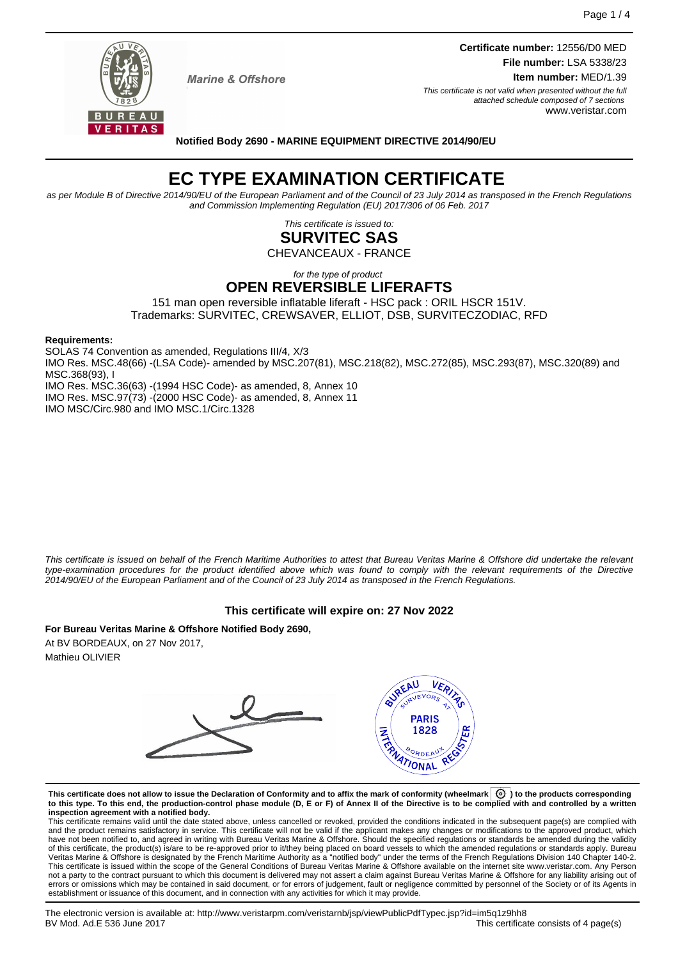

**Marine & Offshore** 

**Certificate number:** 12556/D0 MED **File number:** LSA 5338/23 **Item number:** MED/1.39 This certificate is not valid when presented without the full

attached schedule composed of 7 sections www.veristar.com

#### **Notified Body 2690 - MARINE EQUIPMENT DIRECTIVE 2014/90/EU**

# **EC TYPE EXAMINATION CERTIFICATE**

as per Module B of Directive 2014/90/EU of the European Parliament and of the Council of 23 July 2014 as transposed in the French Regulations and Commission Implementing Regulation (EU) 2017/306 of 06 Feb. 2017

> This certificate is issued to: **SURVITEC SAS**

CHEVANCEAUX - FRANCE

for the type of product

### **OPEN REVERSIBLE LIFERAFTS**

151 man open reversible inflatable liferaft - HSC pack : ORIL HSCR 151V. Trademarks: SURVITEC, CREWSAVER, ELLIOT, DSB, SURVITECZODIAC, RFD

#### **Requirements:**

SOLAS 74 Convention as amended, Regulations III/4, X/3 IMO Res. MSC.48(66) -(LSA Code)- amended by MSC.207(81), MSC.218(82), MSC.272(85), MSC.293(87), MSC.320(89) and MSC.368(93), I IMO Res. MSC.36(63) -(1994 HSC Code)- as amended, 8, Annex 10 IMO Res. MSC.97(73) -(2000 HSC Code)- as amended, 8, Annex 11

IMO MSC/Circ.980 and IMO MSC.1/Circ.1328

This certificate is issued on behalf of the French Maritime Authorities to attest that Bureau Veritas Marine & Offshore did undertake the relevant type-examination procedures for the product identified above which was found to comply with the relevant requirements of the Directive 2014/90/EU of the European Parliament and of the Council of 23 July 2014 as transposed in the French Regulations.

### **This certificate will expire on: 27 Nov 2022**

**For Bureau Veritas Marine & Offshore Notified Body 2690,** At BV BORDEAUX, on 27 Nov 2017, Mathieu OLIVIER



**This certificate does not allow to issue the Declaration of Conformity and to affix the mark of conformity (wheelmark ) to the products corresponding to this type. To this end, the production-control phase module (D, E or F) of Annex II of the Directive is to be complied with and controlled by a written inspection agreement with a notified body.**

This certificate remains valid until the date stated above, unless cancelled or revoked, provided the conditions indicated in the subsequent page(s) are complied with and the product remains satisfactory in service. This certificate will not be valid if the applicant makes any changes or modifications to the approved product, which have not been notified to, and agreed in writing with Bureau Veritas Marine & Offshore. Should the specified regulations or standards be amended during the validity of this certificate, the product(s) is/are to be re-approved prior to it/they being placed on board vessels to which the amended regulations or standards apply. Bureau<br>Veritas Marine & Offshore is designated by the French not a party to the contract pursuant to which this document is delivered may not assert a claim against Bureau Veritas Marine & Offshore for any liability arising out of errors or omissions which may be contained in said document, or for errors of judgement, fault or negligence committed by personnel of the Society or of its Agents in establishment or issuance of this document, and in connection with any activities for which it may provide.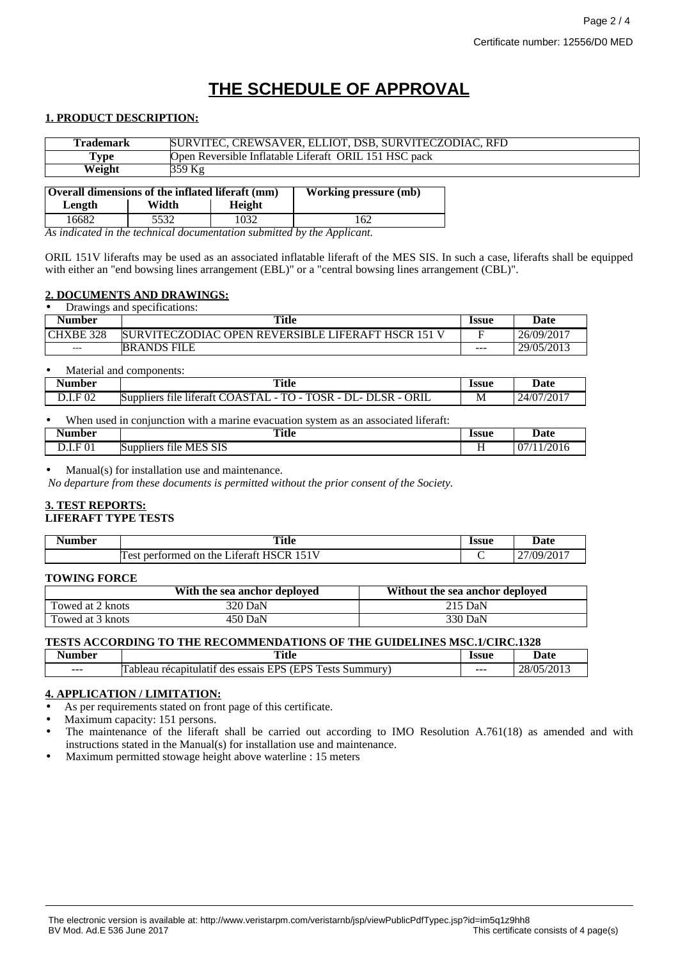## **THE SCHEDULE OF APPROVAL**

#### **1. PRODUCT DESCRIPTION:**

| <b>Trademark</b>                                                                 |        | SURVITEC, CREWSAVER, ELLIOT, DSB, SURVITECZODIAC, RFD |  |  |
|----------------------------------------------------------------------------------|--------|-------------------------------------------------------|--|--|
|                                                                                  |        |                                                       |  |  |
| Type                                                                             |        | Open Reversible Inflatable Liferaft ORIL 151 HSC pack |  |  |
| Weight                                                                           | 359 Kg |                                                       |  |  |
|                                                                                  |        |                                                       |  |  |
| Overall dimensions of the inflated liferaft (mm)<br><b>Working pressure (mb)</b> |        |                                                       |  |  |
| Length                                                                           | Width  | Height                                                |  |  |

16682 5532 1032 162 *As indicated in the technical documentation submitted by the Applicant.*

ORIL 151V liferafts may be used as an associated inflatable liferaft of the MES SIS. In such a case, liferafts shall be equipped with either an "end bowsing lines arrangement (EBL)" or a "central bowsing lines arrangement (CBL)".

#### **2. DOCUMENTS AND DRAWINGS:**

| Drawings and specifications: |                                                    |              |            |
|------------------------------|----------------------------------------------------|--------------|------------|
| <b>Number</b>                | Title                                              | <b>Issue</b> | Date       |
| CHXBE 328                    | SURVITECZODIAC OPEN REVERSIBLE LIFERAFT HSCR 151 V |              | 26/09/2017 |
| $---$                        | <b>BRANDS FILE</b>                                 | ---          | 29/05/2013 |

Material and components:

| Number               | <b>Title</b>                                                                                                                                                    | <b>Issue</b> | Date                                |
|----------------------|-----------------------------------------------------------------------------------------------------------------------------------------------------------------|--------------|-------------------------------------|
|                      |                                                                                                                                                                 | .            | .                                   |
| $F_{02}$<br>$\cdots$ | <b>ORIL</b><br>$\overline{\phantom{a}}$<br>$\cdots$<br>CD<br>mо<br>$\Lambda$<br>OSR<br>Suppliers<br>$\mathbf{a}$<br>דר.<br>liferaft<br>tile.<br>л<br>sк<br>$-1$ | M            | $/201^{-}$<br>44.<br>. . <i>. .</i> |

|               | When used in conjunction with a marine evacuation system as an associated liferaft: |       |            |
|---------------|-------------------------------------------------------------------------------------|-------|------------|
| <b>Number</b> | Title                                                                               | Issue | Date       |
| D.I.F 01      | Suppliers file MES SIS                                                              |       | 07/11/2016 |

Manual(s) for installation use and maintenance.

*No departure from these documents is permitted without the prior consent of the Society.*

#### **3. TEST REPORTS: LIFERAFT TYPE TESTS**

| Jumbor | <b>Title</b>                                                                                         | Issue | Jote             |
|--------|------------------------------------------------------------------------------------------------------|-------|------------------|
| nver   | $\sim$ $\sim$                                                                                        |       | <i>r</i> aic     |
|        | 171T<br>$\cap$ D<br>HΝ<br>nert<br>ormed<br>$\Omega$<br>the<br>ateratt.<br>$\Delta$ $c$ 1<br>ĸ<br>CSL |       | 27/09/7<br>' 201 |

#### **TOWING FORCE**

|                  | With the sea anchor deployed | Without the sea anchor deployed |
|------------------|------------------------------|---------------------------------|
| Towed at 2 knots | 320 DaN                      | 215 DaN                         |
| Towed at 3 knots | 450 DaN                      | 330 DaN                         |

### **TESTS ACCORDING TO THE RECOMMENDATIONS OF THE GUIDELINES MSC.1/CIRC.1328**

| nber    | Title                                                                                                     | <b>CC110</b> | l tafa                |
|---------|-----------------------------------------------------------------------------------------------------------|--------------|-----------------------|
| $\sim$  | $\sim$ $\sim$                                                                                             | .ээиг        | out ∪                 |
| $- - -$ | <b>EDC T.</b><br>uрс<br>-<br>`ummurv<br>canıtıı<br>ests<br>ulatı±<br>essais<br>əleai<br>$r \Delta$<br>des | $- - -$      | 20/04<br>– റ/்<br>. . |

### **4. APPLICATION / LIMITATION:**

As per requirements stated on front page of this certificate.

Maximum capacity: 151 persons.

- The maintenance of the liferaft shall be carried out according to IMO Resolution A.761(18) as amended and with instructions stated in the Manual(s) for installation use and maintenance.
- Maximum permitted stowage height above waterline : 15 meters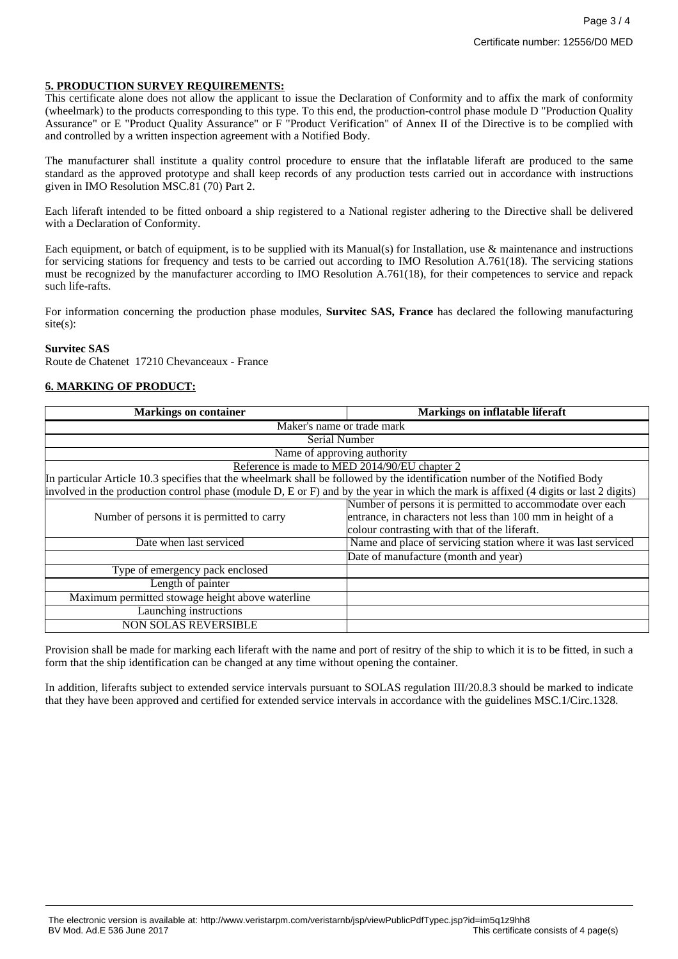#### **5. PRODUCTION SURVEY REQUIREMENTS:**

This certificate alone does not allow the applicant to issue the Declaration of Conformity and to affix the mark of conformity (wheelmark) to the products corresponding to this type. To this end, the production-control phase module D "Production Quality Assurance" or E "Product Quality Assurance" or F "Product Verification" of Annex II of the Directive is to be complied with and controlled by a written inspection agreement with a Notified Body.

The manufacturer shall institute a quality control procedure to ensure that the inflatable liferaft are produced to the same standard as the approved prototype and shall keep records of any production tests carried out in accordance with instructions given in IMO Resolution MSC.81 (70) Part 2.

Each liferaft intended to be fitted onboard a ship registered to a National register adhering to the Directive shall be delivered with a Declaration of Conformity.

Each equipment, or batch of equipment, is to be supplied with its Manual(s) for Installation, use & maintenance and instructions for servicing stations for frequency and tests to be carried out according to IMO Resolution A.761(18). The servicing stations must be recognized by the manufacturer according to IMO Resolution A.761(18), for their competences to service and repack such life-rafts.

For information concerning the production phase modules, **Survitec SAS, France** has declared the following manufacturing site(s):

#### **Survitec SAS**

Route de Chatenet 17210 Chevanceaux - France

### **6. MARKING OF PRODUCT:**

| <b>Markings on container</b>                                                                                                         | <b>Markings on inflatable liferaft</b>                                                                                                                                     |
|--------------------------------------------------------------------------------------------------------------------------------------|----------------------------------------------------------------------------------------------------------------------------------------------------------------------------|
| Maker's name or trade mark                                                                                                           |                                                                                                                                                                            |
| Serial Number                                                                                                                        |                                                                                                                                                                            |
| Name of approving authority                                                                                                          |                                                                                                                                                                            |
|                                                                                                                                      | Reference is made to MED 2014/90/EU chapter 2                                                                                                                              |
| In particular Article 10.3 specifies that the wheelmark shall be followed by the identification number of the Notified Body          |                                                                                                                                                                            |
| involved in the production control phase (module D, E or F) and by the year in which the mark is affixed (4 digits or last 2 digits) |                                                                                                                                                                            |
| Number of persons it is permitted to carry                                                                                           | Number of persons it is permitted to accommodate over each<br>entrance, in characters not less than 100 mm in height of a<br>colour contrasting with that of the liferaft. |
| Date when last serviced                                                                                                              | Name and place of servicing station where it was last serviced                                                                                                             |
|                                                                                                                                      | Date of manufacture (month and year)                                                                                                                                       |
| Type of emergency pack enclosed                                                                                                      |                                                                                                                                                                            |
| Length of painter                                                                                                                    |                                                                                                                                                                            |
| Maximum permitted stowage height above waterline                                                                                     |                                                                                                                                                                            |
| Launching instructions                                                                                                               |                                                                                                                                                                            |
| <b>NON SOLAS REVERSIBLE</b>                                                                                                          |                                                                                                                                                                            |

Provision shall be made for marking each liferaft with the name and port of resitry of the ship to which it is to be fitted, in such a form that the ship identification can be changed at any time without opening the container.

In addition, liferafts subject to extended service intervals pursuant to SOLAS regulation III/20.8.3 should be marked to indicate that they have been approved and certified for extended service intervals in accordance with the guidelines MSC.1/Circ.1328.